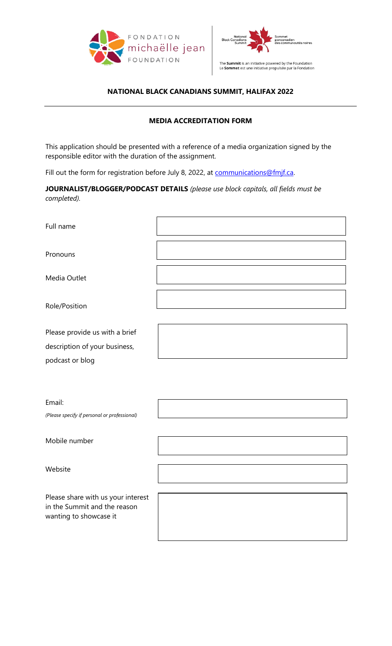



## **NATIONAL BLACK CANADIANS SUMMIT, HALIFAX 2022**

## **MEDIA ACCREDITATION FORM**

This application should be presented with a reference of a media organization signed by the responsible editor with the duration of the assignment.

Fill out the form for registration before July 8, 2022, at [communications@fmjf.ca.](mailto:communications@fmjf.ca)

**JOURNALIST/BLOGGER/PODCAST DETAILS** *(please use block capitals, all fields must be completed).*

| Full name                                                                                    |  |
|----------------------------------------------------------------------------------------------|--|
| Pronouns                                                                                     |  |
| Media Outlet                                                                                 |  |
| Role/Position                                                                                |  |
| Please provide us with a brief                                                               |  |
| description of your business,<br>podcast or blog                                             |  |
|                                                                                              |  |
| Email:                                                                                       |  |
| (Please specify if personal or professional)                                                 |  |
| Mobile number                                                                                |  |
| Website                                                                                      |  |
| Please share with us your interest<br>in the Summit and the reason<br>wanting to showcase it |  |